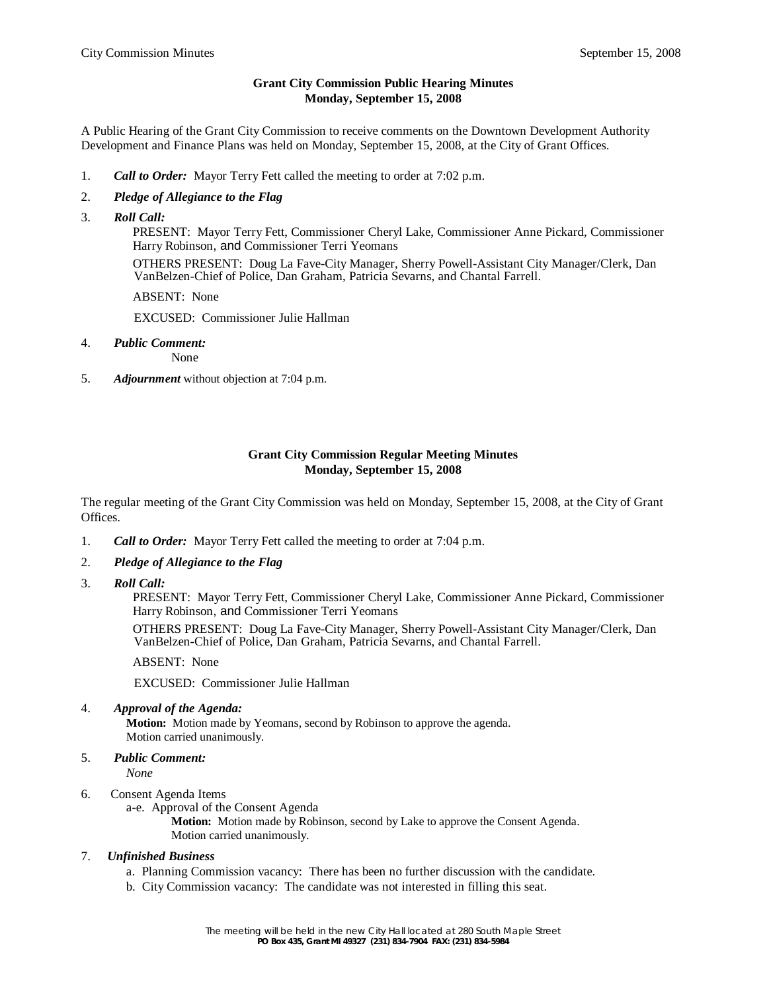# **Grant City Commission Public Hearing Minutes Monday, September 15, 2008**

A Public Hearing of the Grant City Commission to receive comments on the Downtown Development Authority Development and Finance Plans was held on Monday, September 15, 2008, at the City of Grant Offices.

- 1. *Call to Order:* Mayor Terry Fett called the meeting to order at 7:02 p.m.
- 2. *Pledge of Allegiance to the Flag*
- 3. *Roll Call:*

 PRESENT: Mayor Terry Fett, Commissioner Cheryl Lake, Commissioner Anne Pickard, Commissioner Harry Robinson, and Commissioner Terri Yeomans

 OTHERS PRESENT: Doug La Fave-City Manager, Sherry Powell-Assistant City Manager/Clerk, Dan VanBelzen-Chief of Police, Dan Graham, Patricia Sevarns, and Chantal Farrell.

ABSENT: None

EXCUSED: Commissioner Julie Hallman

4. *Public Comment:*

None

5. *Adjournment* without objection at 7:04 p.m.

# **Grant City Commission Regular Meeting Minutes Monday, September 15, 2008**

The regular meeting of the Grant City Commission was held on Monday, September 15, 2008, at the City of Grant Offices.

- 1. *Call to Order:* Mayor Terry Fett called the meeting to order at 7:04 p.m.
- 2. *Pledge of Allegiance to the Flag*
- 3. *Roll Call:*

 PRESENT: Mayor Terry Fett, Commissioner Cheryl Lake, Commissioner Anne Pickard, Commissioner Harry Robinson, and Commissioner Terri Yeomans

 OTHERS PRESENT: Doug La Fave-City Manager, Sherry Powell-Assistant City Manager/Clerk, Dan VanBelzen-Chief of Police, Dan Graham, Patricia Sevarns, and Chantal Farrell.

ABSENT: None

EXCUSED: Commissioner Julie Hallman

4. *Approval of the Agenda:*

**Motion:** Motion made by Yeomans, second by Robinson to approve the agenda. Motion carried unanimously.

5. *Public Comment:*

*None*

- 6. Consent Agenda Items
	- a-e. Approval of the Consent Agenda

**Motion:** Motion made by Robinson, second by Lake to approve the Consent Agenda. Motion carried unanimously.

#### 7. *Unfinished Business*

- a. Planning Commission vacancy: There has been no further discussion with the candidate.
- b. City Commission vacancy: The candidate was not interested in filling this seat.